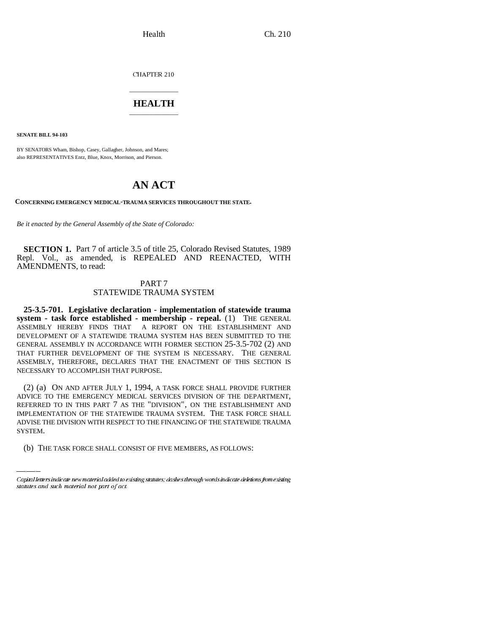CHAPTER 210

## \_\_\_\_\_\_\_\_\_\_\_\_\_\_\_ **HEALTH** \_\_\_\_\_\_\_\_\_\_\_\_\_\_\_

**SENATE BILL 94-103**

BY SENATORS Wham, Bishop, Casey, Gallagher, Johnson, and Mares; also REPRESENTATIVES Entz, Blue, Knox, Morrison, and Pierson.

## **AN ACT**

**CONCERNING EMERGENCY MEDICAL-TRAUMA SERVICES THROUGHOUT THE STATE.**

*Be it enacted by the General Assembly of the State of Colorado:*

**SECTION 1.** Part 7 of article 3.5 of title 25, Colorado Revised Statutes, 1989 Repl. Vol., as amended, is REPEALED AND REENACTED, WITH AMENDMENTS, to read:

## PART 7 STATEWIDE TRAUMA SYSTEM

**25-3.5-701. Legislative declaration - implementation of statewide trauma system - task force established - membership - repeal.** (1) THE GENERAL ASSEMBLY HEREBY FINDS THAT A REPORT ON THE ESTABLISHMENT AND DEVELOPMENT OF A STATEWIDE TRAUMA SYSTEM HAS BEEN SUBMITTED TO THE GENERAL ASSEMBLY IN ACCORDANCE WITH FORMER SECTION 25-3.5-702 (2) AND THAT FURTHER DEVELOPMENT OF THE SYSTEM IS NECESSARY. THE GENERAL ASSEMBLY, THEREFORE, DECLARES THAT THE ENACTMENT OF THIS SECTION IS NECESSARY TO ACCOMPLISH THAT PURPOSE.

IMPLEMENTATION OF THE STATEWIDE TRAUMA SYSTEM. THE TASK FORCE SHALL (2) (a) ON AND AFTER JULY 1, 1994, A TASK FORCE SHALL PROVIDE FURTHER ADVICE TO THE EMERGENCY MEDICAL SERVICES DIVISION OF THE DEPARTMENT, REFERRED TO IN THIS PART 7 AS THE "DIVISION", ON THE ESTABLISHMENT AND ADVISE THE DIVISION WITH RESPECT TO THE FINANCING OF THE STATEWIDE TRAUMA SYSTEM.

(b) THE TASK FORCE SHALL CONSIST OF FIVE MEMBERS, AS FOLLOWS:

Capital letters indicate new material added to existing statutes; dashes through words indicate deletions from existing statutes and such material not part of act.